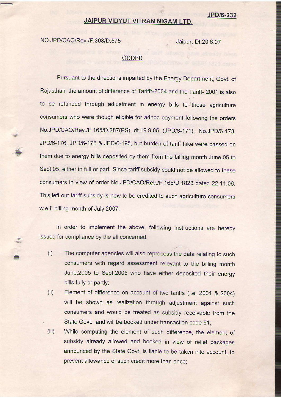## JAIPUR VIDYUT VITRAN NIGAM LTD.

NO.JPD/CAO/Rev./F.393/D.575 Jaipur, Dt.20.6.07

## ORDER

Pursuant to the directions imparted by the Energy Department, Govt. of Rajasthan, the amount of difference of Tariffr-2004 and the Tariff- 2001 is also to be refunded through adjustment in energy bills to those agriculture consumers who were though eligible for adhoc payment following the orders No.JPD/CAO/Rev./F.165/D.287(PS) dt.19.9.05 (JPD/6-171), No.JPD/6-173, JPD/6-176, JPD/6-178 & JPD/6-195, but burden of tariff hike were passed on them due to energy bills deposited by them from the billing month June, 05 to Sept.05, either in full or part. Since tariff subsidy could not be allowed to these consumers in view of order No.JPD/CAO/Rev./F .1651D.1823 dated 22.11.06. This left out tariff subsidy is now to be credited to such agriculture consumers w.e.f. billing month of July,2007.

ln order to implement the above, following instructions are hereby issued for compliance by the all concerned.

- The computer agencies will also reprocess the data relating to such consumers with regard assessment relevant to the billing month June, 2005 to Sept. 2005 who have either deposited their energy bills fully or partly;  $(i)$
- Element of difference on account of two tariffs (i.e. 2001 & 2OO4) will be shown as realization through adjustment against such consumers and would be treated as subsidy receivable from the State Govt. and will be booked under transaction code 51;  $(ii)$
- While computing the element of such difference, the element of subsidy already allowed and booked in view of relief packages announced by the State Govt. is liable to be taken into account, to prevent allowance of such credit more than once;  $(iii)$